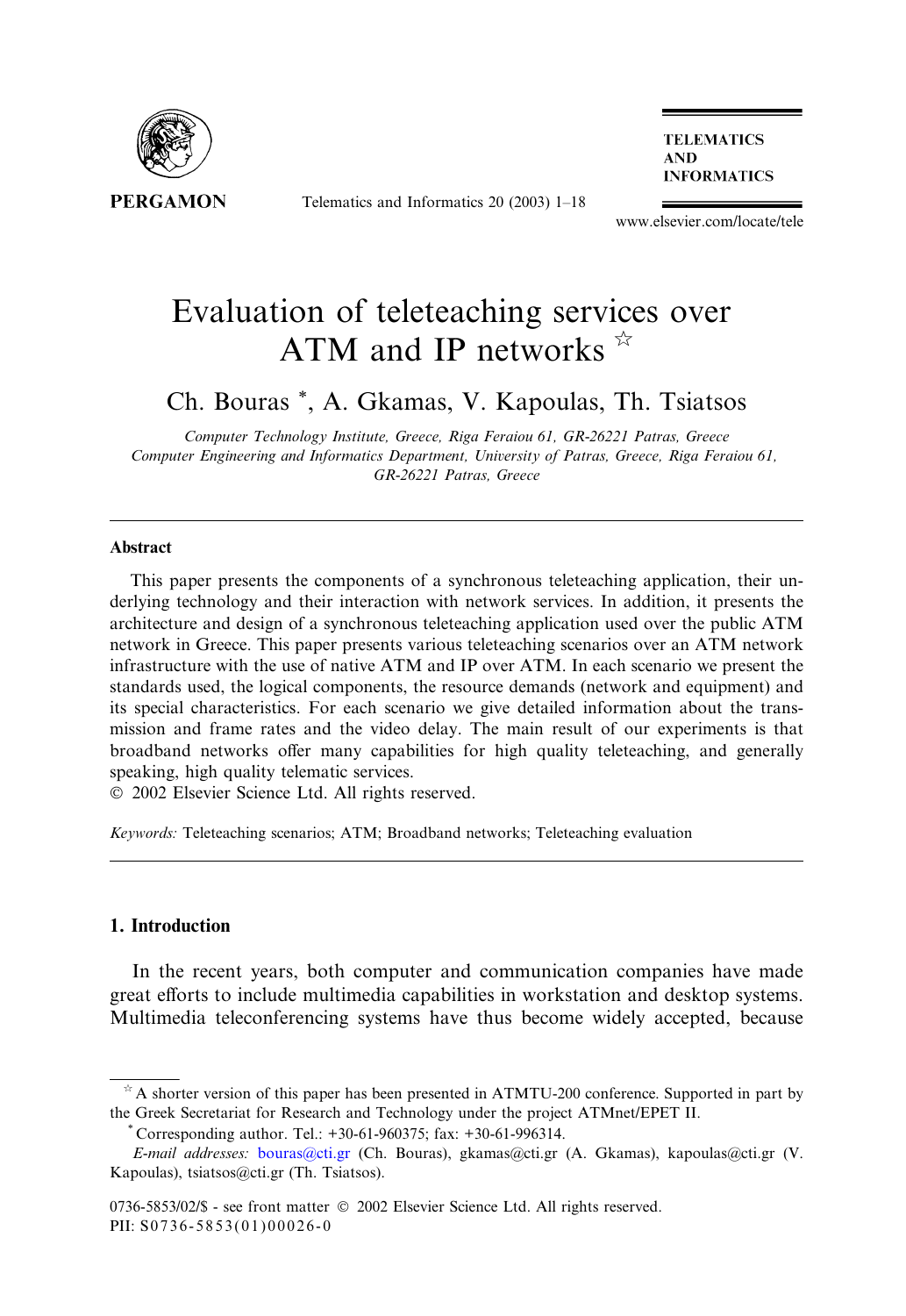

Telematics and Informatics 20 (2003) 1–18

**TELEMATICS AND INFORMATICS** 

www.elsevier.com/locate/tele

# Evaluation of teleteaching services over ATM and IP networks  $\overline{X}$

Ch. Bouras \*, A. Gkamas, V. Kapoulas, Th. Tsiatsos

Computer Technology Institute, Greece, Riga Feraiou 61, GR-26221 Patras, Greece Computer Engineering and Informatics Department, University of Patras, Greece, Riga Feraiou 61, GR-26221 Patras, Greece

#### Abstract

This paper presents the components of a synchronous teleteaching application, their underlying technology and their interaction with network services. In addition, it presents the architecture and design of a synchronous teleteaching application used over the public ATM network in Greece. This paper presents various teleteaching scenarios over an ATM network infrastructure with the use of native ATM and IP over ATM. In each scenario we present the standards used, the logical components, the resource demands (network and equipment) and its special characteristics. For each scenario we give detailed information about the transmission and frame rates and the video delay. The main result of our experiments is that broadband networks offer many capabilities for high quality teleteaching, and generally speaking, high quality telematic services.

2002 Elsevier Science Ltd. All rights reserved.

Keywords: Teleteaching scenarios; ATM; Broadband networks; Teleteaching evaluation

# 1. Introduction

In the recent years, both computer and communication companies have made great efforts to include multimedia capabilities in workstation and desktop systems. Multimedia teleconferencing systems have thus become widely accepted, because

 $\alpha$  A shorter version of this paper has been presented in ATMTU-200 conference. Supported in part by the Greek Secretariat for Research and Technology under the project ATMnet/EPET II.

<sup>\*</sup> Corresponding author. Tel.: +30-61-960375; fax: +30-61-996314.

E-mail addresses: [bouras@cti.gr](mail to: bouras@cti.gr) (Ch. Bouras), gkamas@cti.gr (A. Gkamas), kapoulas@cti.gr (V. Kapoulas), tsiatsos@cti.gr (Th. Tsiatsos).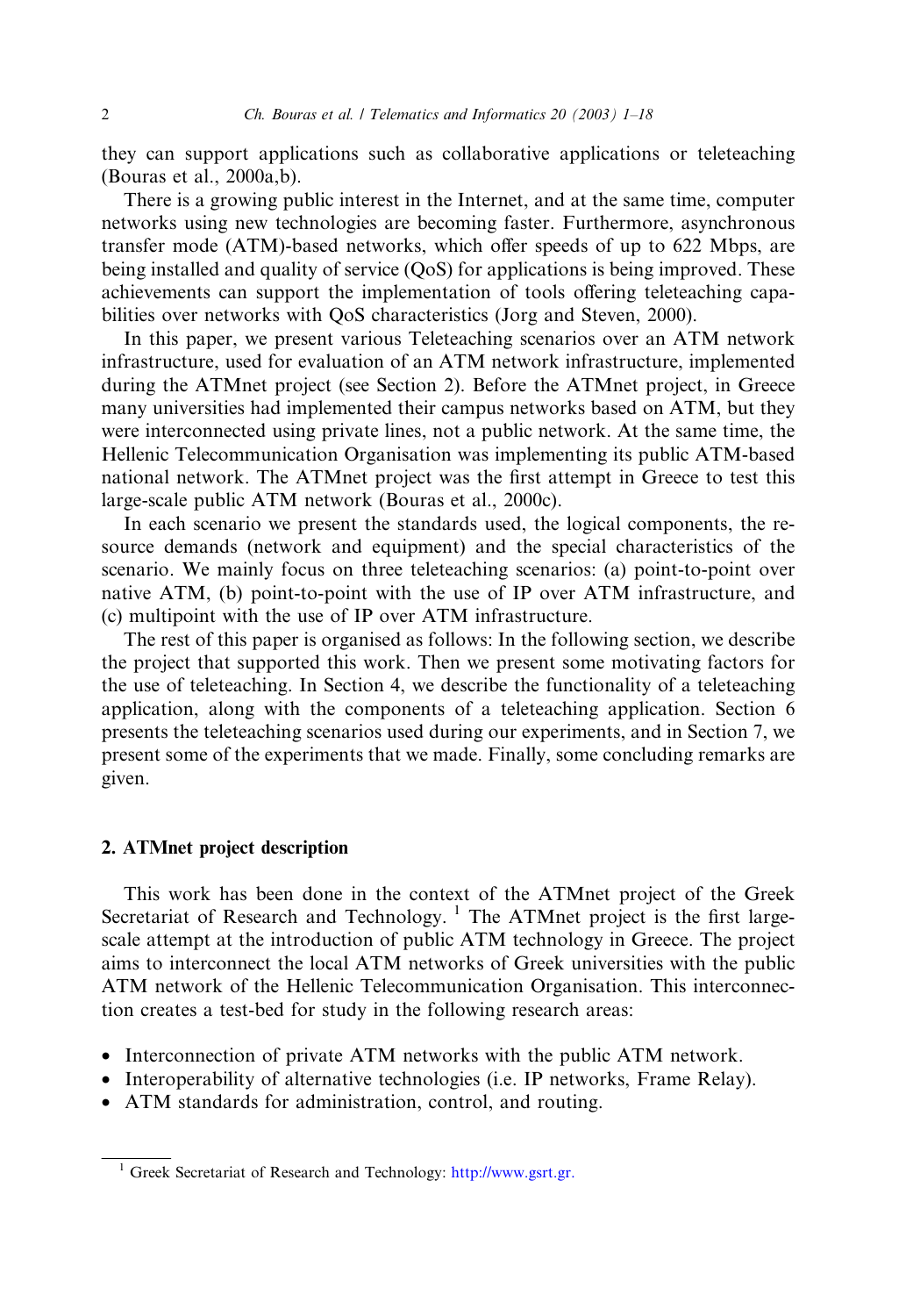they can support applications such as collaborative applications or teleteaching (Bouras et al., 2000a,b).

There is a growing public interest in the Internet, and at the same time, computer networks using new technologies are becoming faster. Furthermore, asynchronous transfer mode (ATM)-based networks, which offer speeds of up to 622 Mbps, are being installed and quality of service (QoS) for applications is being improved. These achievements can support the implementation of tools offering teleteaching capabilities over networks with QoS characteristics (Jorg and Steven, 2000).

In this paper, we present various Teleteaching scenarios over an ATM network infrastructure, used for evaluation of an ATM network infrastructure, implemented during the ATMnet project (see Section 2). Before the ATMnet project, in Greece many universities had implemented their campus networks based on ATM, but they were interconnected using private lines, not a public network. At the same time, the Hellenic Telecommunication Organisation was implementing its public ATM-based national network. The ATMnet project was the first attempt in Greece to test this large-scale public ATM network (Bouras et al., 2000c).

In each scenario we present the standards used, the logical components, the resource demands (network and equipment) and the special characteristics of the scenario. We mainly focus on three teleteaching scenarios: (a) point-to-point over native ATM, (b) point-to-point with the use of IP over ATM infrastructure, and (c) multipoint with the use of IP over ATM infrastructure.

The rest of this paper is organised as follows: In the following section, we describe the project that supported this work. Then we present some motivating factors for the use of teleteaching. In Section 4, we describe the functionality of a teleteaching application, along with the components of a teleteaching application. Section 6 presents the teleteaching scenarios used during our experiments, and in Section 7, we present some of the experiments that we made. Finally, some concluding remarks are given.

## 2. ATMnet project description

This work has been done in the context of the ATMnet project of the Greek Secretariat of Research and Technology.  $1$  The ATMnet project is the first largescale attempt at the introduction of public ATM technology in Greece. The project aims to interconnect the local ATM networks of Greek universities with the public ATM network of the Hellenic Telecommunication Organisation. This interconnection creates a test-bed for study in the following research areas:

- Interconnection of private ATM networks with the public ATM network.
- Interoperability of alternative technologies (i.e. IP networks, Frame Relay).
- ATM standards for administration, control, and routing.

<sup>&</sup>lt;sup>1</sup> Greek Secretariat of Research and Technology: [http://www.gsrt.gr.](http://www.gsrt.gr)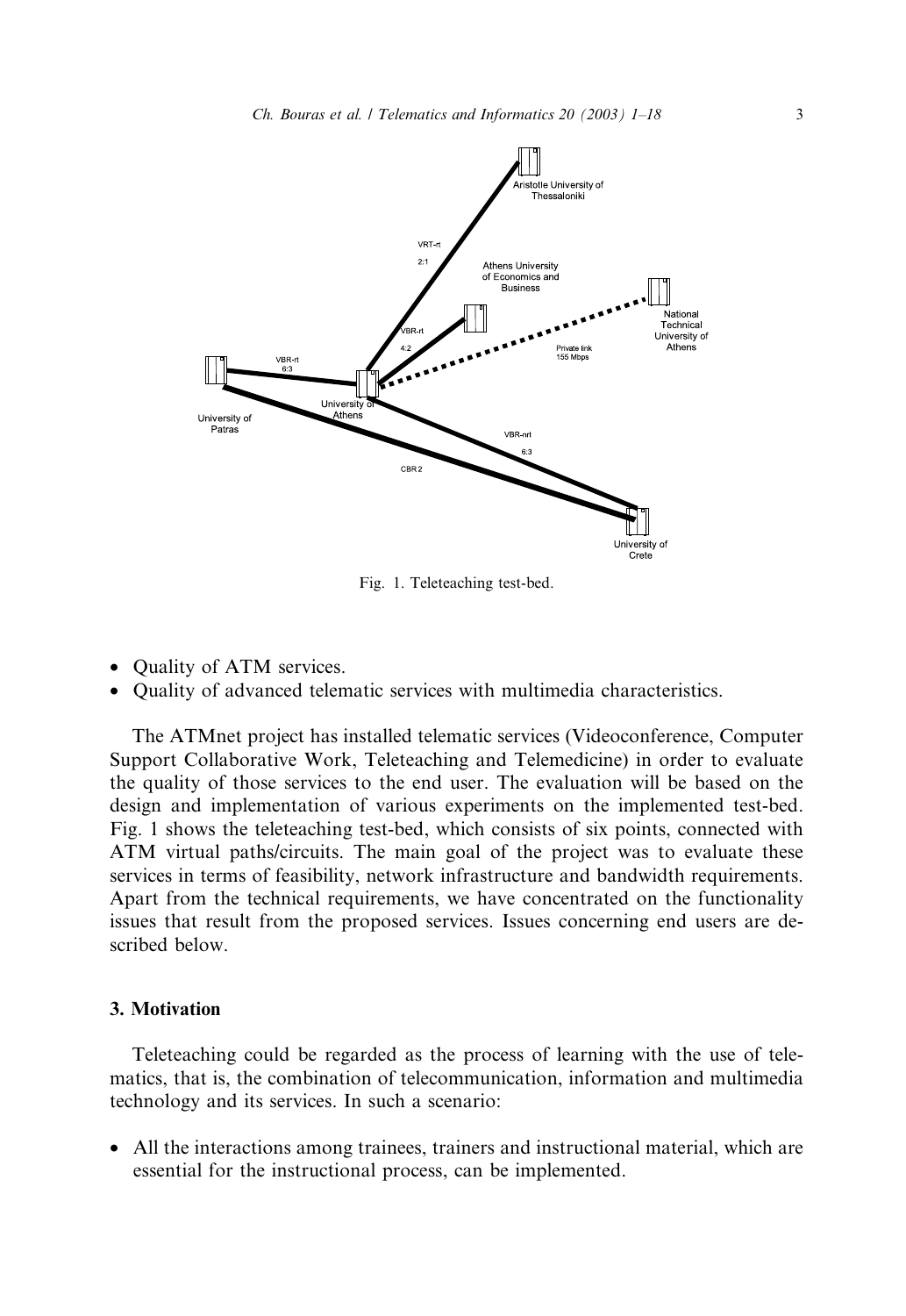

Fig. 1. Teleteaching test-bed.

- Ouality of ATM services.
- Quality of advanced telematic services with multimedia characteristics.

The ATMnet project has installed telematic services (Videoconference, Computer Support Collaborative Work, Teleteaching and Telemedicine) in order to evaluate the quality of those services to the end user. The evaluation will be based on the design and implementation of various experiments on the implemented test-bed. Fig. 1 shows the teleteaching test-bed, which consists of six points, connected with ATM virtual paths/circuits. The main goal of the project was to evaluate these services in terms of feasibility, network infrastructure and bandwidth requirements. Apart from the technical requirements, we have concentrated on the functionality issues that result from the proposed services. Issues concerning end users are described below.

# 3. Motivation

Teleteaching could be regarded as the process of learning with the use of telematics, that is, the combination of telecommunication, information and multimedia technology and its services. In such a scenario:

• All the interactions among trainees, trainers and instructional material, which are essential for the instructional process, can be implemented.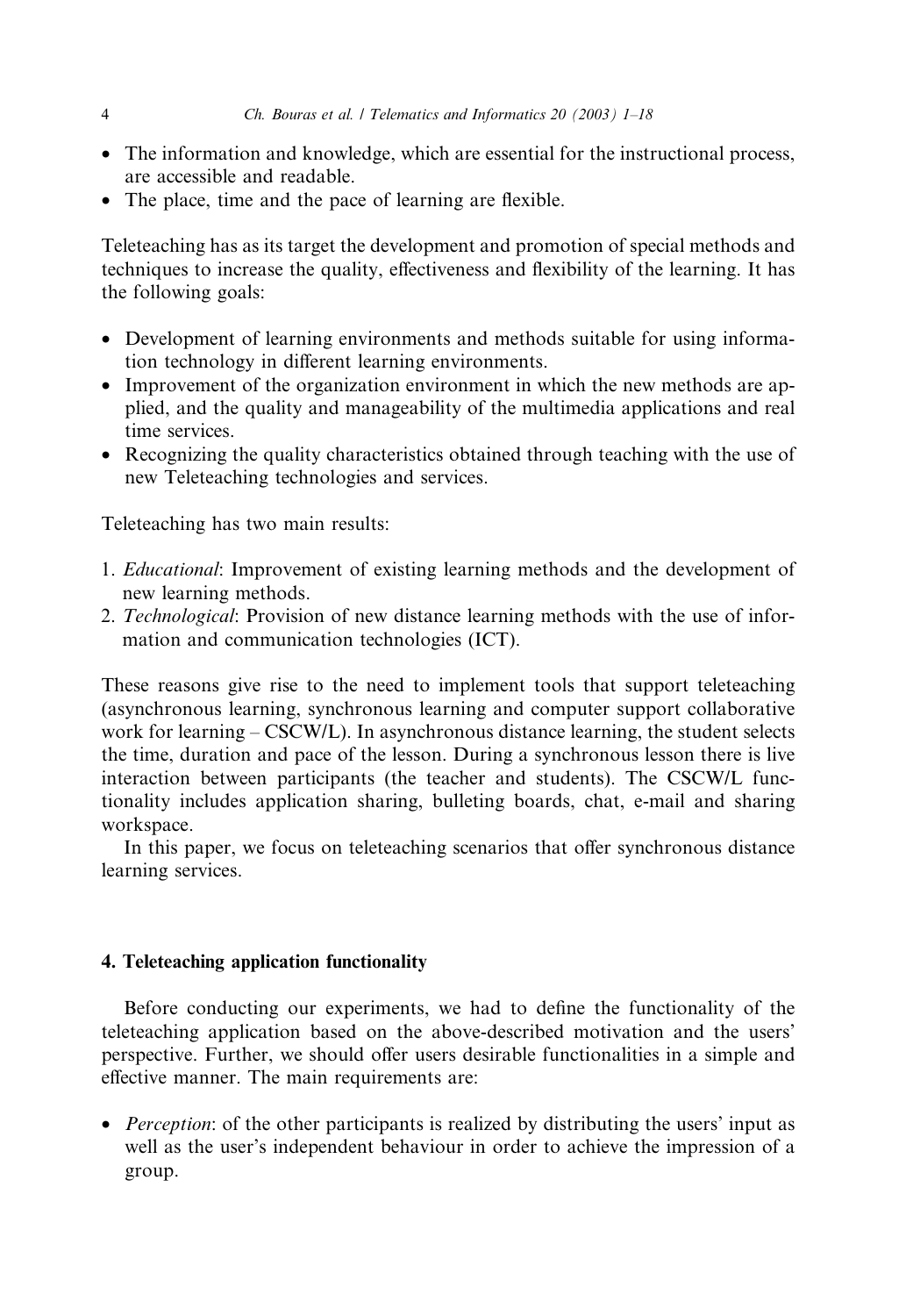- The information and knowledge, which are essential for the instructional process, are accessible and readable.
- The place, time and the pace of learning are flexible.

Teleteaching has as its target the development and promotion of special methods and techniques to increase the quality, effectiveness and flexibility of the learning. It has the following goals:

- Development of learning environments and methods suitable for using information technology in different learning environments.
- Improvement of the organization environment in which the new methods are applied, and the quality and manageability of the multimedia applications and real time services.
- Recognizing the quality characteristics obtained through teaching with the use of new Teleteaching technologies and services.

Teleteaching has two main results:

- 1. Educational: Improvement of existing learning methods and the development of new learning methods.
- 2. Technological: Provision of new distance learning methods with the use of information and communication technologies (ICT).

These reasons give rise to the need to implement tools that support teleteaching (asynchronous learning, synchronous learning and computer support collaborative work for learning – CSCW/L). In asynchronous distance learning, the student selects the time, duration and pace of the lesson. During a synchronous lesson there is live interaction between participants (the teacher and students). The CSCW/L functionality includes application sharing, bulleting boards, chat, e-mail and sharing workspace.

In this paper, we focus on teleteaching scenarios that offer synchronous distance learning services.

# 4. Teleteaching application functionality

Before conducting our experiments, we had to define the functionality of the teleteaching application based on the above-described motivation and the users' perspective. Further, we should offer users desirable functionalities in a simple and effective manner. The main requirements are:

• *Perception*: of the other participants is realized by distributing the users' input as well as the user's independent behaviour in order to achieve the impression of a group.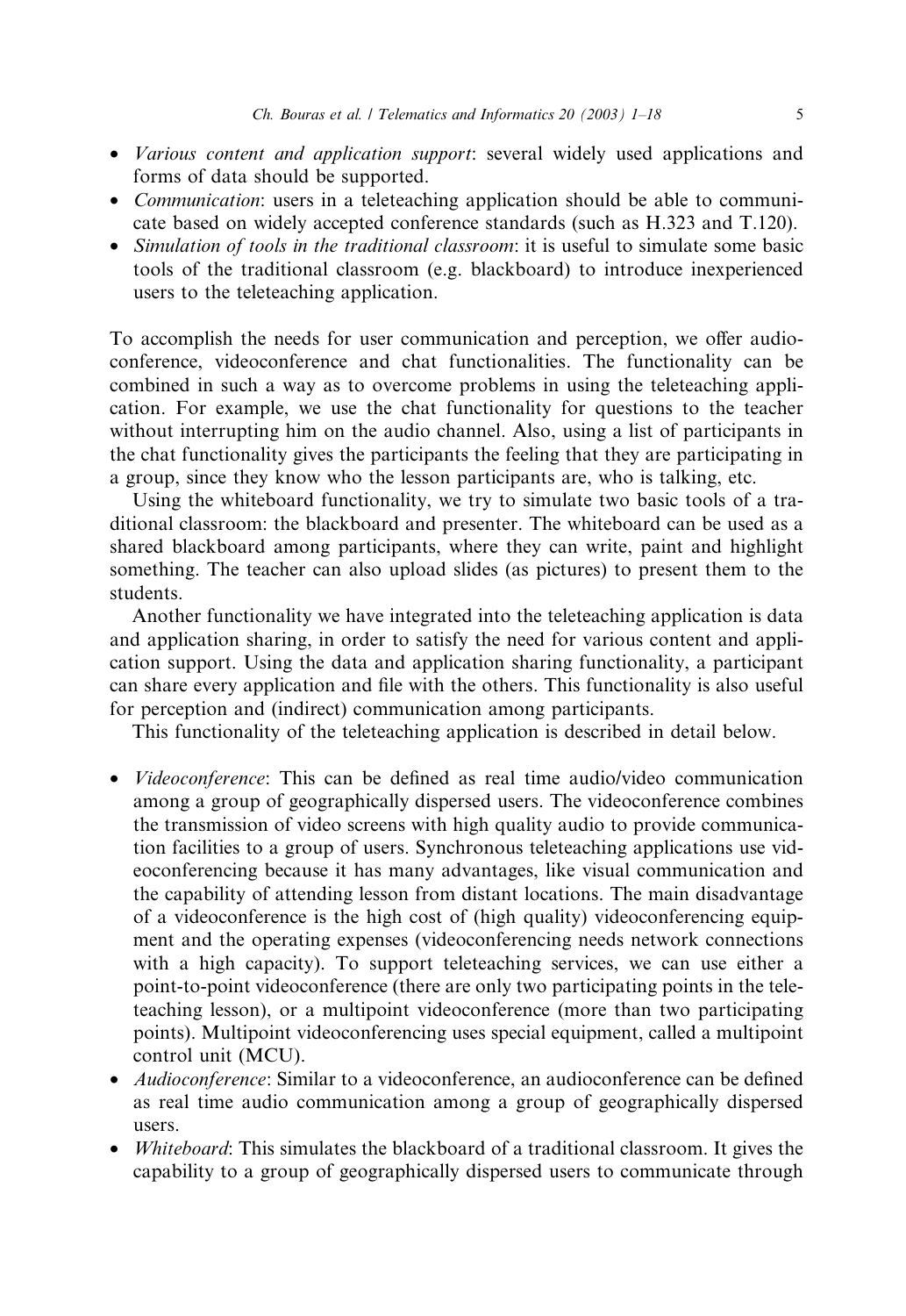- *Various content and application support*: several widely used applications and forms of data should be supported.
- *Communication*: users in a teleteaching application should be able to communicate based on widely accepted conference standards (such as H.323 and T.120).
- Simulation of tools in the traditional classroom: it is useful to simulate some basic tools of the traditional classroom (e.g. blackboard) to introduce inexperienced users to the teleteaching application.

To accomplish the needs for user communication and perception, we offer audioconference, videoconference and chat functionalities. The functionality can be combined in such a way as to overcome problems in using the teleteaching application. For example, we use the chat functionality for questions to the teacher without interrupting him on the audio channel. Also, using a list of participants in the chat functionality gives the participants the feeling that they are participating in a group, since they know who the lesson participants are, who is talking, etc.

Using the whiteboard functionality, we try to simulate two basic tools of a traditional classroom: the blackboard and presenter. The whiteboard can be used as a shared blackboard among participants, where they can write, paint and highlight something. The teacher can also upload slides (as pictures) to present them to the students.

Another functionality we have integrated into the teleteaching application is data and application sharing, in order to satisfy the need for various content and application support. Using the data and application sharing functionality, a participant can share every application and file with the others. This functionality is also useful for perception and (indirect) communication among participants.

This functionality of the teleteaching application is described in detail below.

- *Videoconference*: This can be defined as real time audio/video communication among a group of geographically dispersed users. The videoconference combines the transmission of video screens with high quality audio to provide communication facilities to a group of users. Synchronous teleteaching applications use videoconferencing because it has many advantages, like visual communication and the capability of attending lesson from distant locations. The main disadvantage of a videoconference is the high cost of (high quality) videoconferencing equipment and the operating expenses (videoconferencing needs network connections with a high capacity). To support teleteaching services, we can use either a point-to-point videoconference (there are only two participating points in the teleteaching lesson), or a multipoint videoconference (more than two participating points). Multipoint videoconferencing uses special equipment, called a multipoint control unit (MCU).
- *Audioconference*: Similar to a videoconference, an audioconference can be defined as real time audio communication among a group of geographically dispersed users.
- *Whiteboard*: This simulates the blackboard of a traditional classroom. It gives the capability to a group of geographically dispersed users to communicate through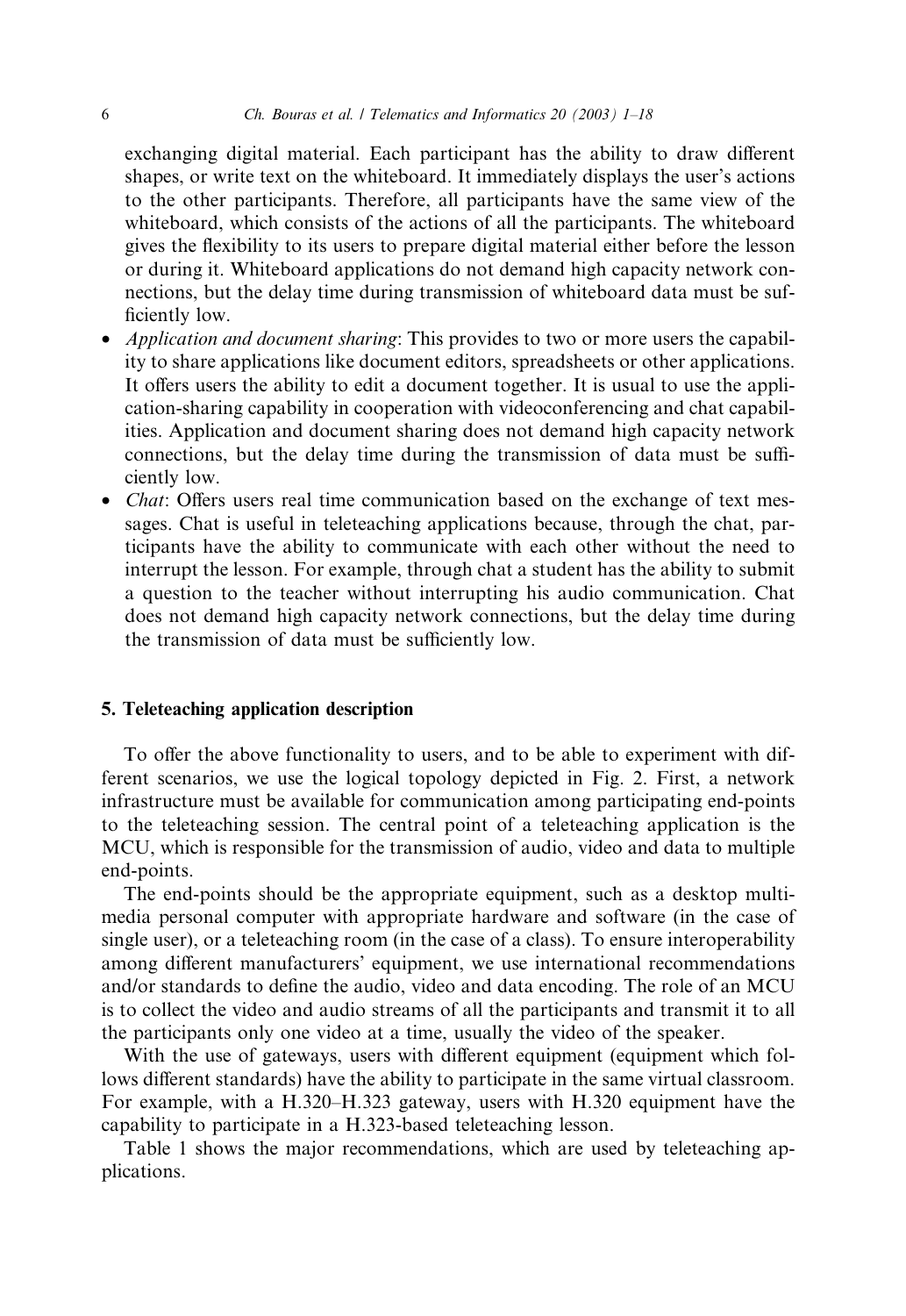exchanging digital material. Each participant has the ability to draw different shapes, or write text on the whiteboard. It immediately displays the user's actions to the other participants. Therefore, all participants have the same view of the whiteboard, which consists of the actions of all the participants. The whiteboard gives the flexibility to its users to prepare digital material either before the lesson or during it. Whiteboard applications do not demand high capacity network connections, but the delay time during transmission of whiteboard data must be sufficiently low.

- Application and document sharing: This provides to two or more users the capability to share applications like document editors, spreadsheets or other applications. It offers users the ability to edit a document together. It is usual to use the application-sharing capability in cooperation with videoconferencing and chat capabilities. Application and document sharing does not demand high capacity network connections, but the delay time during the transmission of data must be sufficiently low.
- *Chat:* Offers users real time communication based on the exchange of text messages. Chat is useful in teleteaching applications because, through the chat, participants have the ability to communicate with each other without the need to interrupt the lesson. For example, through chat a student has the ability to submit a question to the teacher without interrupting his audio communication. Chat does not demand high capacity network connections, but the delay time during the transmission of data must be sufficiently low.

# 5. Teleteaching application description

To offer the above functionality to users, and to be able to experiment with different scenarios, we use the logical topology depicted in Fig. 2. First, a network infrastructure must be available for communication among participating end-points to the teleteaching session. The central point of a teleteaching application is the MCU, which is responsible for the transmission of audio, video and data to multiple end-points.

The end-points should be the appropriate equipment, such as a desktop multimedia personal computer with appropriate hardware and software (in the case of single user), or a teleteaching room (in the case of a class). To ensure interoperability among different manufacturers' equipment, we use international recommendations and/or standards to define the audio, video and data encoding. The role of an MCU is to collect the video and audio streams of all the participants and transmit it to all the participants only one video at a time, usually the video of the speaker.

With the use of gateways, users with different equipment (equipment which follows different standards) have the ability to participate in the same virtual classroom. For example, with a H.320–H.323 gateway, users with H.320 equipment have the capability to participate in a H.323-based teleteaching lesson.

Table 1 shows the major recommendations, which are used by teleteaching applications.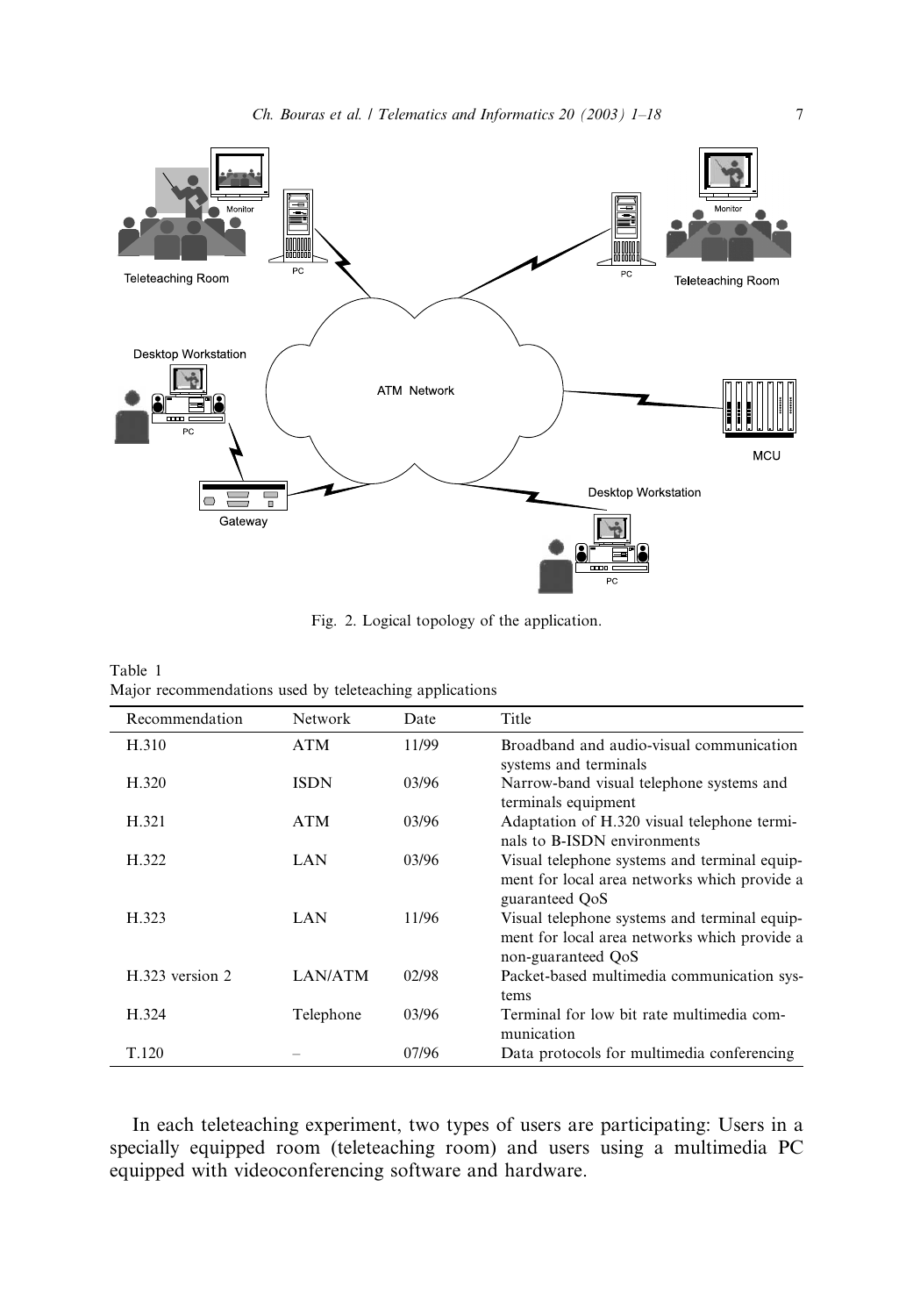

Fig. 2. Logical topology of the application.

| Table 1                                                 |  |  |
|---------------------------------------------------------|--|--|
| Major recommendations used by teleteaching applications |  |  |

| Recommendation  | Network     | Date  | Title                                                                                                              |
|-----------------|-------------|-------|--------------------------------------------------------------------------------------------------------------------|
| H.310           | ATM         | 11/99 | Broadband and audio-visual communication<br>systems and terminals                                                  |
| H.320           | <b>ISDN</b> | 03/96 | Narrow-band visual telephone systems and<br>terminals equipment                                                    |
| H.321           | ATM         | 03/96 | Adaptation of H.320 visual telephone termi-<br>nals to B-ISDN environments                                         |
| H.322           | LAN         | 03/96 | Visual telephone systems and terminal equip-<br>ment for local area networks which provide a<br>guaranteed OoS     |
| H.323           | LAN         | 11/96 | Visual telephone systems and terminal equip-<br>ment for local area networks which provide a<br>non-guaranteed OoS |
| H.323 version 2 | LAN/ATM     | 02/98 | Packet-based multimedia communication sys-<br>tems                                                                 |
| H.324           | Telephone   | 03/96 | Terminal for low bit rate multimedia com-<br>munication                                                            |
| T.120           |             | 07/96 | Data protocols for multimedia conferencing                                                                         |

In each teleteaching experiment, two types of users are participating: Users in a specially equipped room (teleteaching room) and users using a multimedia PC equipped with videoconferencing software and hardware.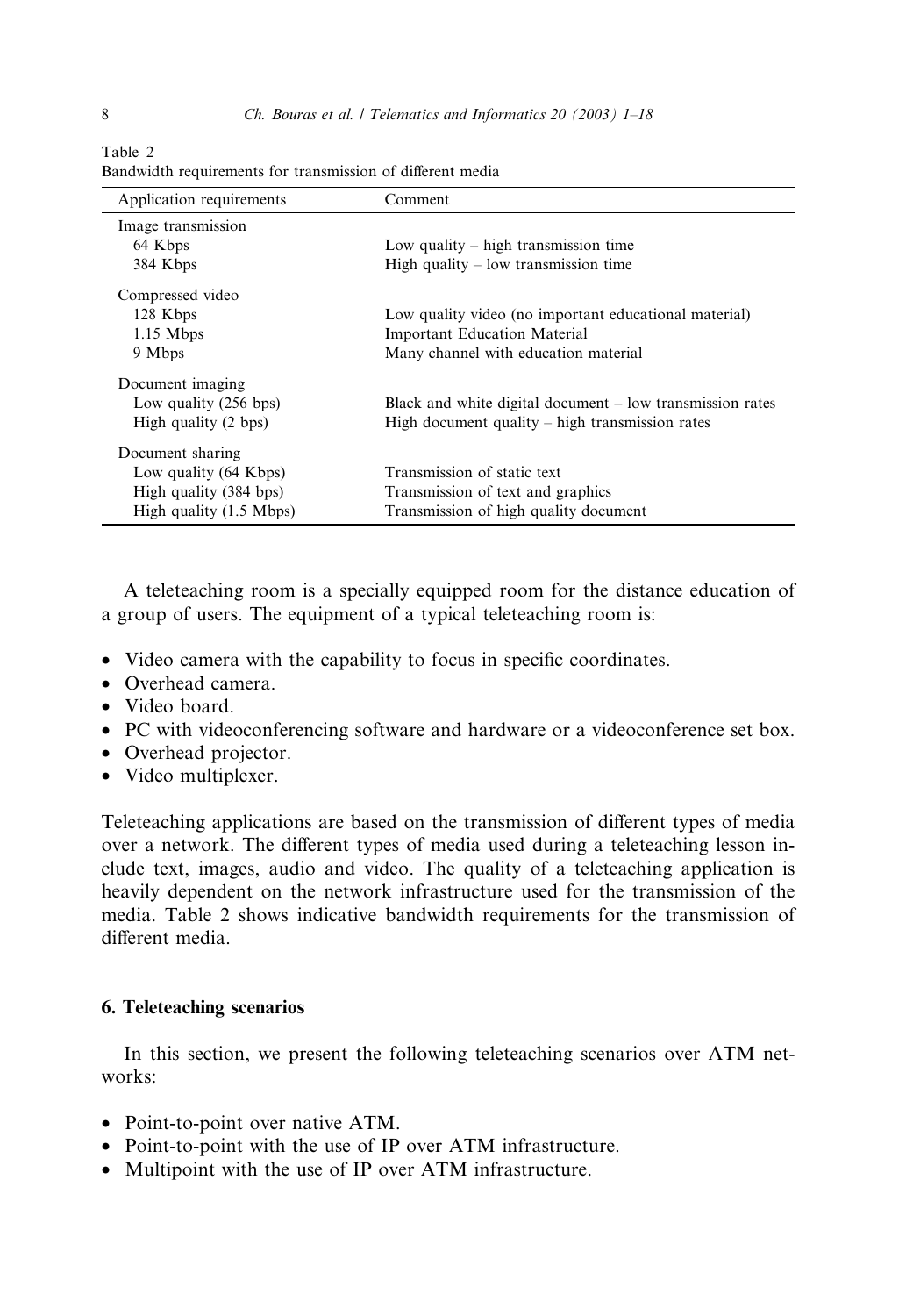| Application requirements | Comment                                                     |
|--------------------------|-------------------------------------------------------------|
| Image transmission       |                                                             |
| 64 Kbps                  | Low quality $-$ high transmission time                      |
| 384 Kbps                 | High quality $-$ low transmission time                      |
| Compressed video         |                                                             |
| 128 Kbps                 | Low quality video (no important educational material)       |
| $1.15$ Mbps              | <b>Important Education Material</b>                         |
| 9 Mbps                   | Many channel with education material                        |
| Document imaging         |                                                             |
| Low quality $(256 bps)$  | Black and white digital document $-$ low transmission rates |
| High quality (2 bps)     | High document quality $-$ high transmission rates           |
| Document sharing         |                                                             |
| Low quality (64 Kbps)    | Transmission of static text                                 |
| High quality (384 bps)   | Transmission of text and graphics                           |
| High quality (1.5 Mbps)  | Transmission of high quality document                       |

Table 2 Bandwidth requirements for transmission of different media

A teleteaching room is a specially equipped room for the distance education of a group of users. The equipment of a typical teleteaching room is:

- Video camera with the capability to focus in specific coordinates.
- Overhead camera.
- Video board.
- PC with videoconferencing software and hardware or a videoconference set box.
- Overhead projector.
- Video multiplexer.

Teleteaching applications are based on the transmission of different types of media over a network. The different types of media used during a teleteaching lesson include text, images, audio and video. The quality of a teleteaching application is heavily dependent on the network infrastructure used for the transmission of the media. Table 2 shows indicative bandwidth requirements for the transmission of different media.

# 6. Teleteaching scenarios

In this section, we present the following teleteaching scenarios over ATM networks:

- Point-to-point over native ATM.
- Point-to-point with the use of IP over ATM infrastructure.
- Multipoint with the use of IP over ATM infrastructure.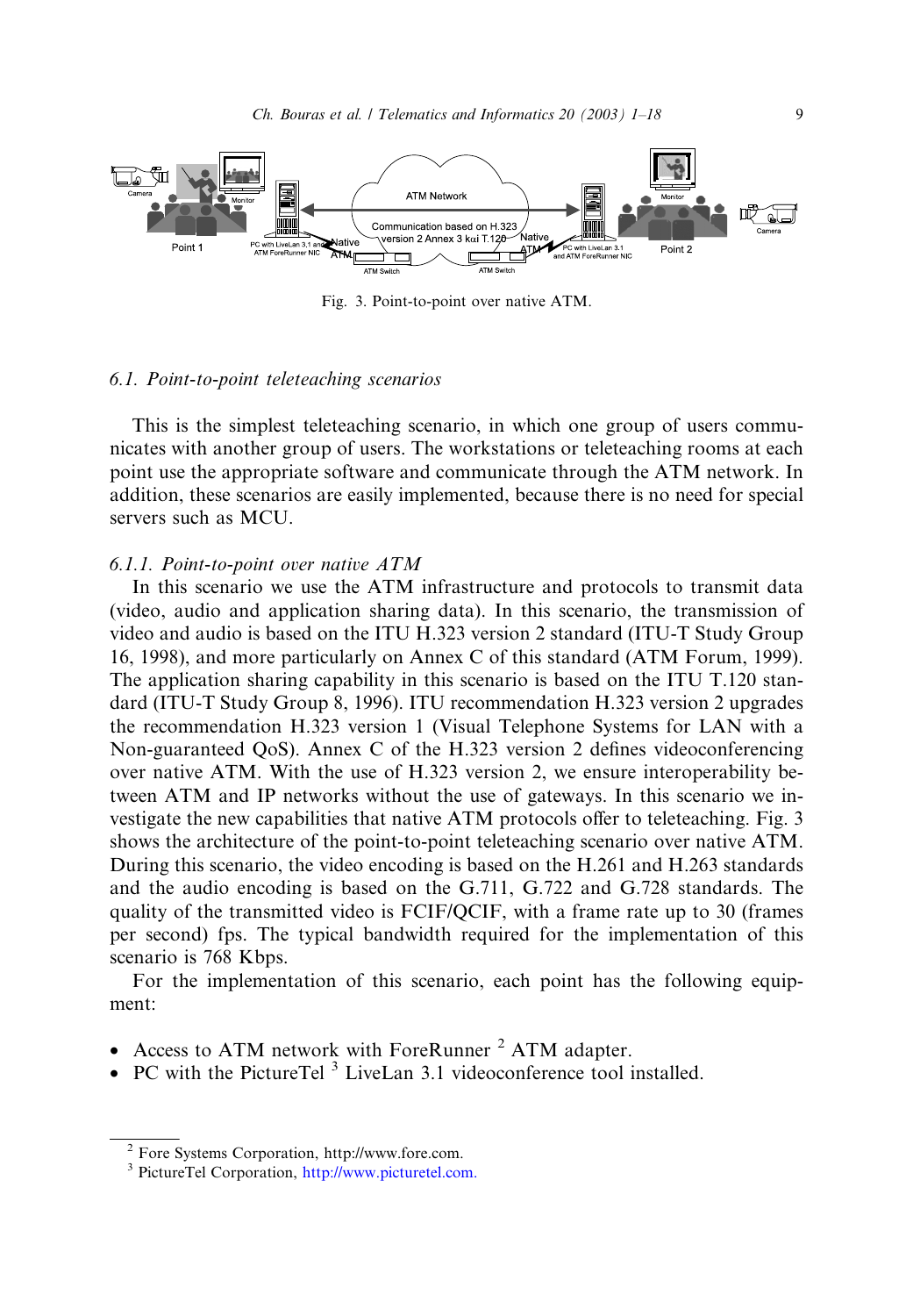

Fig. 3. Point-to-point over native ATM.

# 6.1. Point-to-point teleteaching scenarios

This is the simplest teleteaching scenario, in which one group of users communicates with another group of users. The workstations or teleteaching rooms at each point use the appropriate software and communicate through the ATM network. In addition, these scenarios are easily implemented, because there is no need for special servers such as MCU.

### 6.1.1. Point-to-point over native ATM

In this scenario we use the ATM infrastructure and protocols to transmit data (video, audio and application sharing data). In this scenario, the transmission of video and audio is based on the ITU H.323 version 2 standard (ITU-T Study Group 16, 1998), and more particularly on Annex C of this standard (ATM Forum, 1999). The application sharing capability in this scenario is based on the ITU T.120 standard (ITU-T Study Group 8, 1996). ITU recommendation H.323 version 2 upgrades the recommendation H.323 version 1 (Visual Telephone Systems for LAN with a Non-guaranteed QoS). Annex C of the H.323 version 2 defines videoconferencing over native ATM. With the use of H.323 version 2, we ensure interoperability between ATM and IP networks without the use of gateways. In this scenario we investigate the new capabilities that native ATM protocols offer to teleteaching. Fig. 3 shows the architecture of the point-to-point teleteaching scenario over native ATM. During this scenario, the video encoding is based on the H.261 and H.263 standards and the audio encoding is based on the G.711, G.722 and G.728 standards. The quality of the transmitted video is FCIF/QCIF, with a frame rate up to 30 (frames per second) fps. The typical bandwidth required for the implementation of this scenario is 768 Kbps.

For the implementation of this scenario, each point has the following equipment:

- Access to ATM network with ForeRunner<sup>2</sup> ATM adapter.
- PC with the PictureTel  $3$  LiveLan 3.1 videoconference tool installed.

<sup>2</sup> Fore Systems Corporation, http://www.fore.com.

<sup>3</sup> PictureTel Corporation, [http://www.picturetel.com.](http://www.picturetel.com)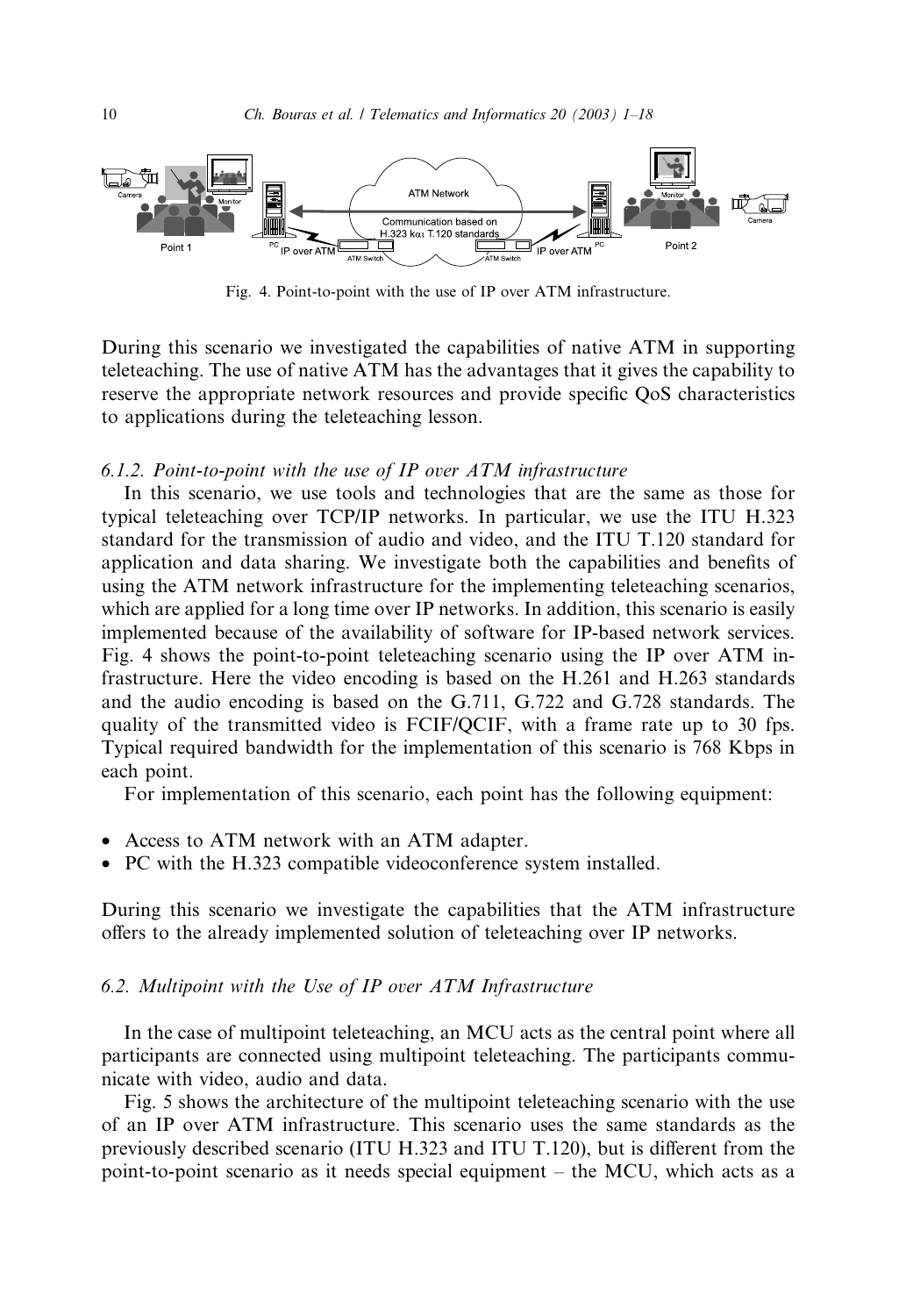

Fig. 4. Point-to-point with the use of IP over ATM infrastructure.

During this scenario we investigated the capabilities of native ATM in supporting teleteaching. The use of native ATM has the advantages that it gives the capability to reserve the appropriate network resources and provide specific QoS characteristics to applications during the teleteaching lesson.

#### 6.1.2. Point-to-point with the use of IP over ATM infrastructure

In this scenario, we use tools and technologies that are the same as those for typical teleteaching over TCP/IP networks. In particular, we use the ITU H.323 standard for the transmission of audio and video, and the ITU T.120 standard for application and data sharing. We investigate both the capabilities and benefits of using the ATM network infrastructure for the implementing teleteaching scenarios, which are applied for a long time over IP networks. In addition, this scenario is easily implemented because of the availability of software for IP-based network services. Fig. 4 shows the point-to-point teleteaching scenario using the IP over ATM infrastructure. Here the video encoding is based on the H.261 and H.263 standards and the audio encoding is based on the G.711, G.722 and G.728 standards. The quality of the transmitted video is FCIF/QCIF, with a frame rate up to 30 fps. Typical required bandwidth for the implementation of this scenario is 768 Kbps in each point.

For implementation of this scenario, each point has the following equipment:

- Access to ATM network with an ATM adapter.
- PC with the H.323 compatible videoconference system installed.

During this scenario we investigate the capabilities that the ATM infrastructure offers to the already implemented solution of teleteaching over IP networks.

### 6.2. Multipoint with the Use of IP over ATM Infrastructure

In the case of multipoint teleteaching, an MCU acts as the central point where all participants are connected using multipoint teleteaching. The participants communicate with video, audio and data.

Fig. 5 shows the architecture of the multipoint teleteaching scenario with the use of an IP over ATM infrastructure. This scenario uses the same standards as the previously described scenario (ITU H.323 and ITU T.120), but is different from the point-to-point scenario as it needs special equipment – the MCU, which acts as a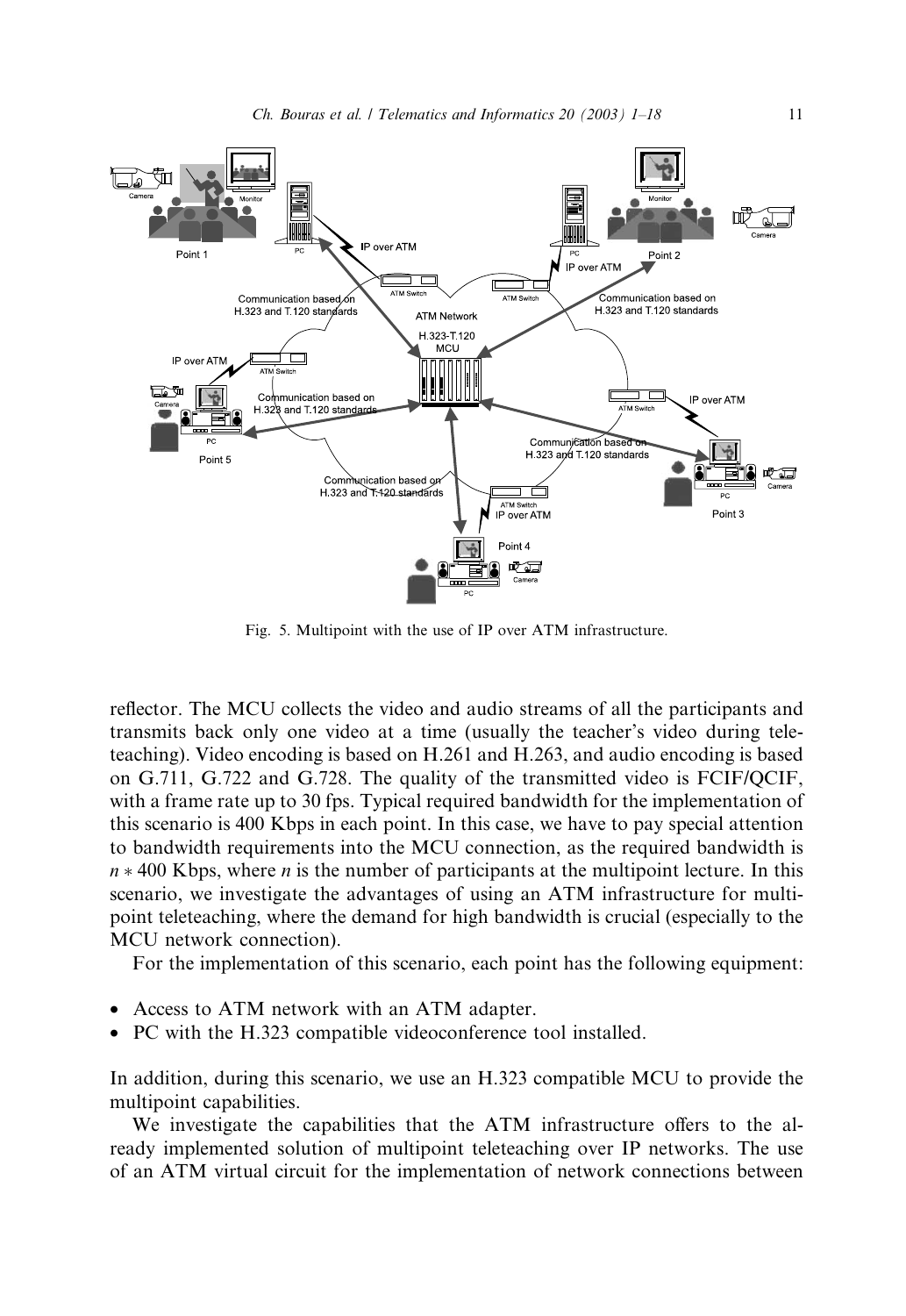

Fig. 5. Multipoint with the use of IP over ATM infrastructure.

reflector. The MCU collects the video and audio streams of all the participants and transmits back only one video at a time (usually the teacher's video during teleteaching). Video encoding is based on H.261 and H.263, and audio encoding is based on G.711, G.722 and G.728. The quality of the transmitted video is FCIF/QCIF, with a frame rate up to 30 fps. Typical required bandwidth for the implementation of this scenario is 400 Kbps in each point. In this case, we have to pay special attention to bandwidth requirements into the MCU connection, as the required bandwidth is  $n * 400$  Kbps, where *n* is the number of participants at the multipoint lecture. In this scenario, we investigate the advantages of using an ATM infrastructure for multipoint teleteaching, where the demand for high bandwidth is crucial (especially to the MCU network connection).

For the implementation of this scenario, each point has the following equipment:

- Access to ATM network with an ATM adapter.
- PC with the H.323 compatible videoconference tool installed.

In addition, during this scenario, we use an H.323 compatible MCU to provide the multipoint capabilities.

We investigate the capabilities that the ATM infrastructure offers to the already implemented solution of multipoint teleteaching over IP networks. The use of an ATM virtual circuit for the implementation of network connections between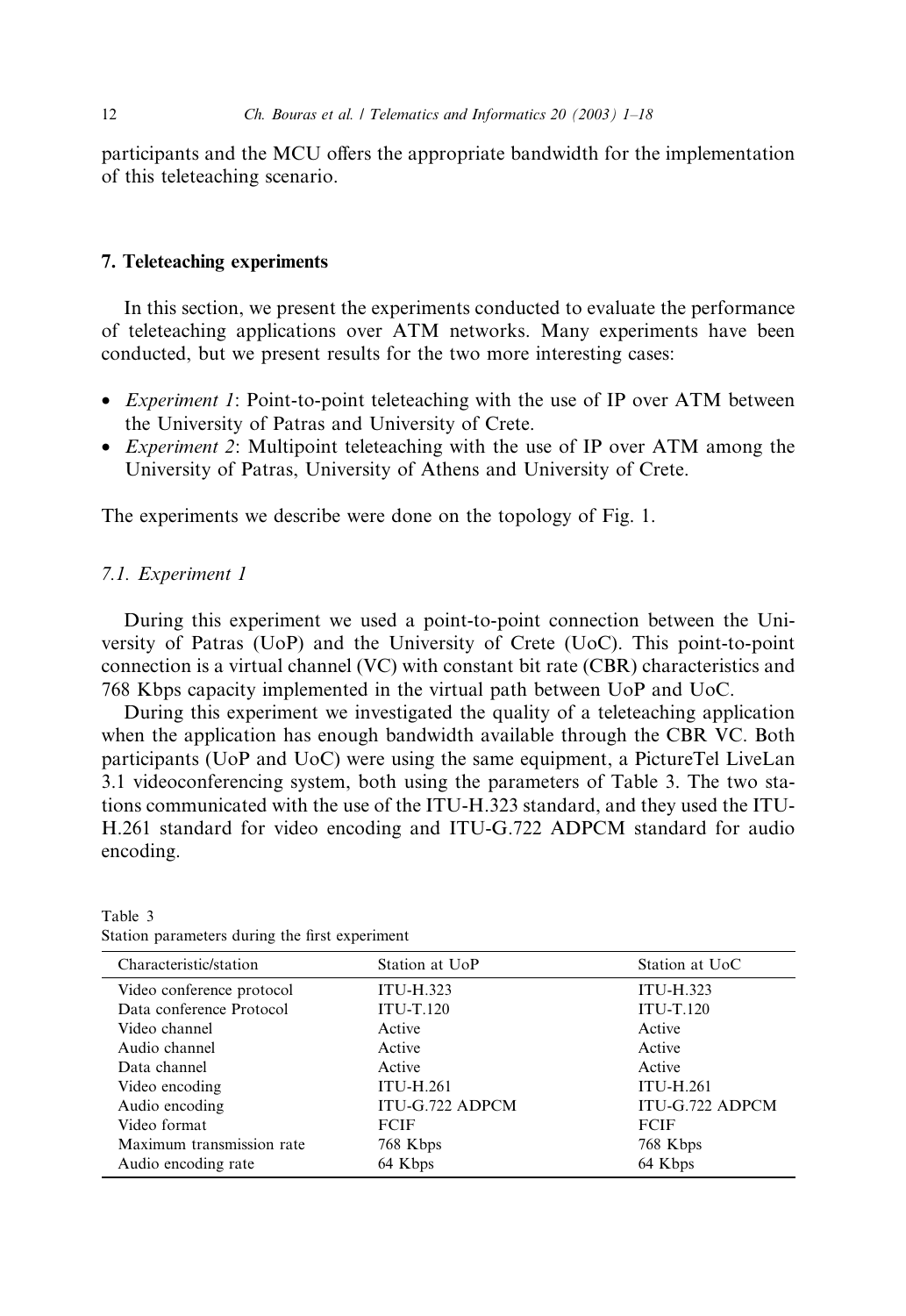participants and the MCU offers the appropriate bandwidth for the implementation of this teleteaching scenario.

#### 7. Teleteaching experiments

In this section, we present the experiments conducted to evaluate the performance of teleteaching applications over ATM networks. Many experiments have been conducted, but we present results for the two more interesting cases:

- *Experiment 1*: Point-to-point teleteaching with the use of IP over ATM between the University of Patras and University of Crete.
- *Experiment 2*: Multipoint teleteaching with the use of IP over ATM among the University of Patras, University of Athens and University of Crete.

The experiments we describe were done on the topology of Fig. 1.

# 7.1. Experiment 1

During this experiment we used a point-to-point connection between the University of Patras (UoP) and the University of Crete (UoC). This point-to-point connection is a virtual channel (VC) with constant bit rate (CBR) characteristics and 768 Kbps capacity implemented in the virtual path between UoP and UoC.

During this experiment we investigated the quality of a teleteaching application when the application has enough bandwidth available through the CBR VC. Both participants (UoP and UoC) were using the same equipment, a PictureTel LiveLan 3.1 videoconferencing system, both using the parameters of Table 3. The two stations communicated with the use of the ITU-H.323 standard, and they used the ITU-H.261 standard for video encoding and ITU-G.722 ADPCM standard for audio encoding.

| Characteristic/station    | Station at UoP         | Station at UoC         |
|---------------------------|------------------------|------------------------|
| Video conference protocol | ITU-H.323              | ITU-H.323              |
| Data conference Protocol  | <b>ITU-T.120</b>       | <b>ITU-T.120</b>       |
| Video channel             | Active                 | Active                 |
| Audio channel             | Active                 | Active                 |
| Data channel              | Active                 | Active                 |
| Video encoding            | <b>ITU-H.261</b>       | <b>ITU-H.261</b>       |
| Audio encoding            | <b>ITU-G.722 ADPCM</b> | <b>ITU-G.722 ADPCM</b> |
| Video format              | <b>FCIF</b>            | <b>FCIF</b>            |
| Maximum transmission rate | 768 Kbps               | 768 Kbps               |
| Audio encoding rate       | 64 Kbps                | 64 Kbps                |

Table 3 Station parameters during the first experiment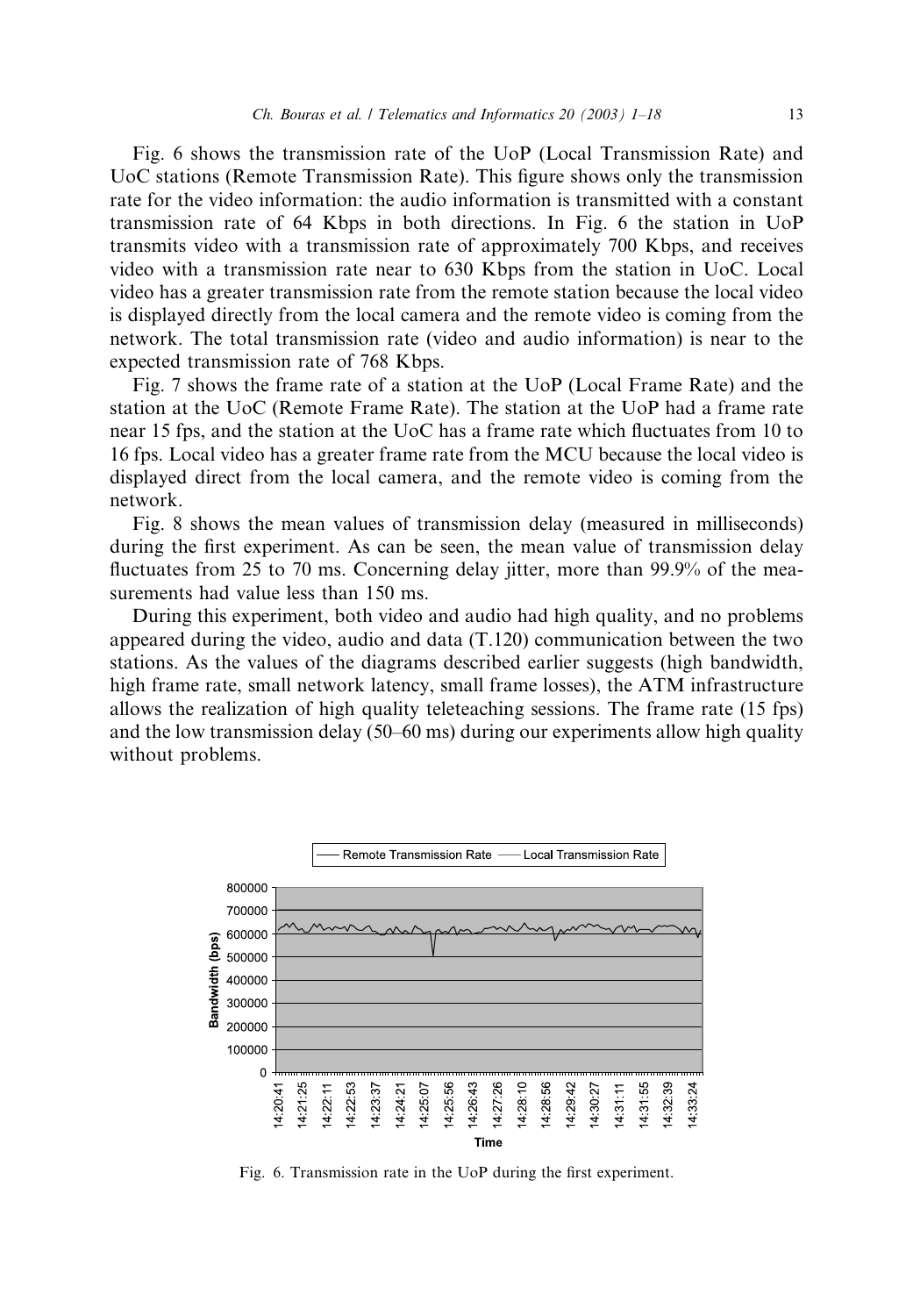Fig. 6 shows the transmission rate of the UoP (Local Transmission Rate) and UoC stations (Remote Transmission Rate). This figure shows only the transmission rate for the video information: the audio information is transmitted with a constant transmission rate of 64 Kbps in both directions. In Fig. 6 the station in UoP transmits video with a transmission rate of approximately 700 Kbps, and receives video with a transmission rate near to 630 Kbps from the station in UoC. Local video has a greater transmission rate from the remote station because the local video is displayed directly from the local camera and the remote video is coming from the network. The total transmission rate (video and audio information) is near to the expected transmission rate of 768 Kbps.

Fig. 7 shows the frame rate of a station at the UoP (Local Frame Rate) and the station at the UoC (Remote Frame Rate). The station at the UoP had a frame rate near 15 fps, and the station at the UoC has a frame rate which fluctuates from 10 to 16 fps. Local video has a greater frame rate from the MCU because the local video is displayed direct from the local camera, and the remote video is coming from the network.

Fig. 8 shows the mean values of transmission delay (measured in milliseconds) during the first experiment. As can be seen, the mean value of transmission delay fluctuates from 25 to 70 ms. Concerning delay jitter, more than 99.9% of the measurements had value less than 150 ms.

During this experiment, both video and audio had high quality, and no problems appeared during the video, audio and data (T.120) communication between the two stations. As the values of the diagrams described earlier suggests (high bandwidth, high frame rate, small network latency, small frame losses), the ATM infrastructure allows the realization of high quality teleteaching sessions. The frame rate (15 fps) and the low transmission delay (50–60 ms) during our experiments allow high quality without problems.



Fig. 6. Transmission rate in the UoP during the first experiment.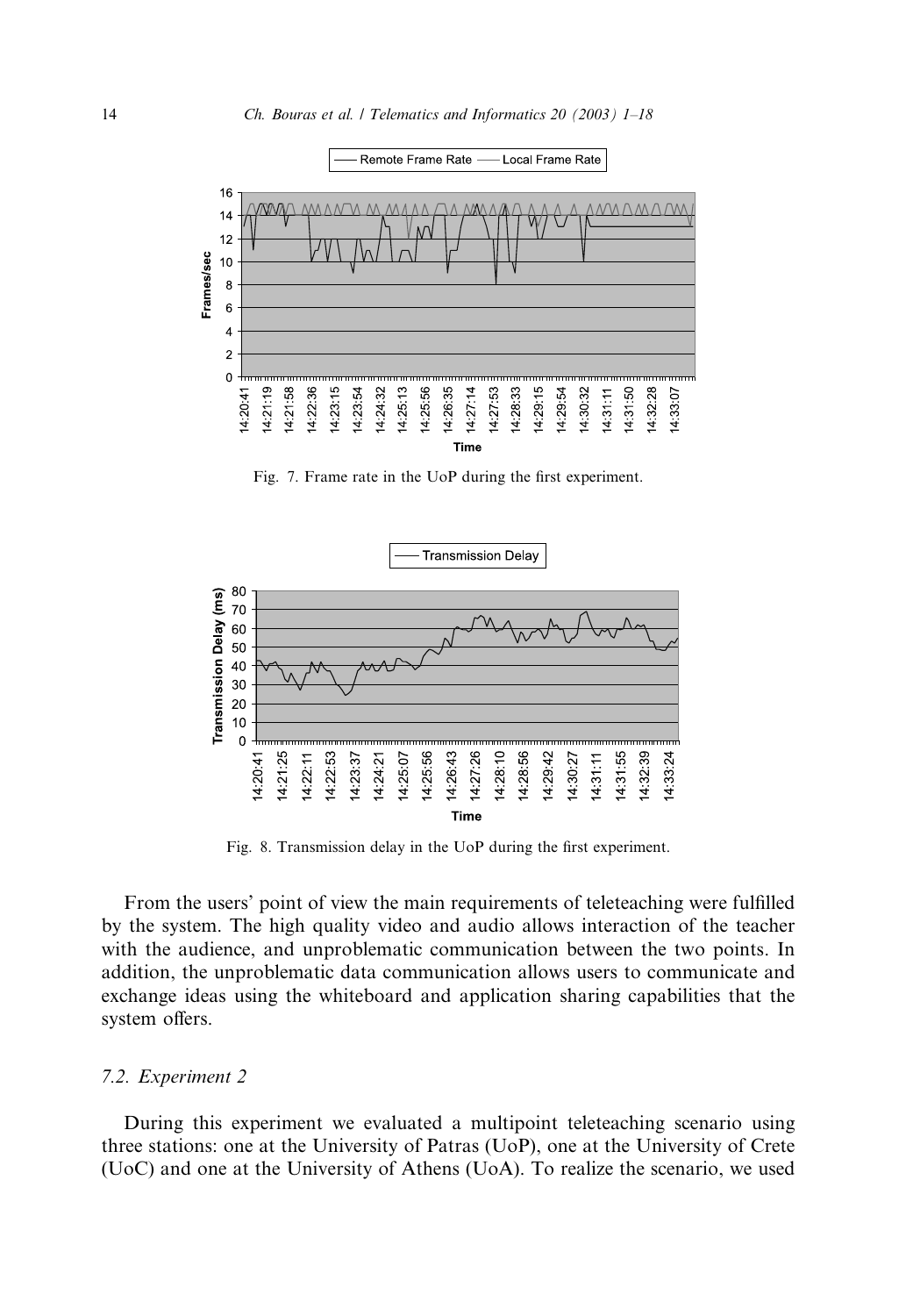

Fig. 7. Frame rate in the UoP during the first experiment.



Fig. 8. Transmission delay in the UoP during the first experiment.

From the users' point of view the main requirements of teleteaching were fulfilled by the system. The high quality video and audio allows interaction of the teacher with the audience, and unproblematic communication between the two points. In addition, the unproblematic data communication allows users to communicate and exchange ideas using the whiteboard and application sharing capabilities that the system offers.

### 7.2. Experiment 2

During this experiment we evaluated a multipoint teleteaching scenario using three stations: one at the University of Patras (UoP), one at the University of Crete (UoC) and one at the University of Athens (UoA). To realize the scenario, we used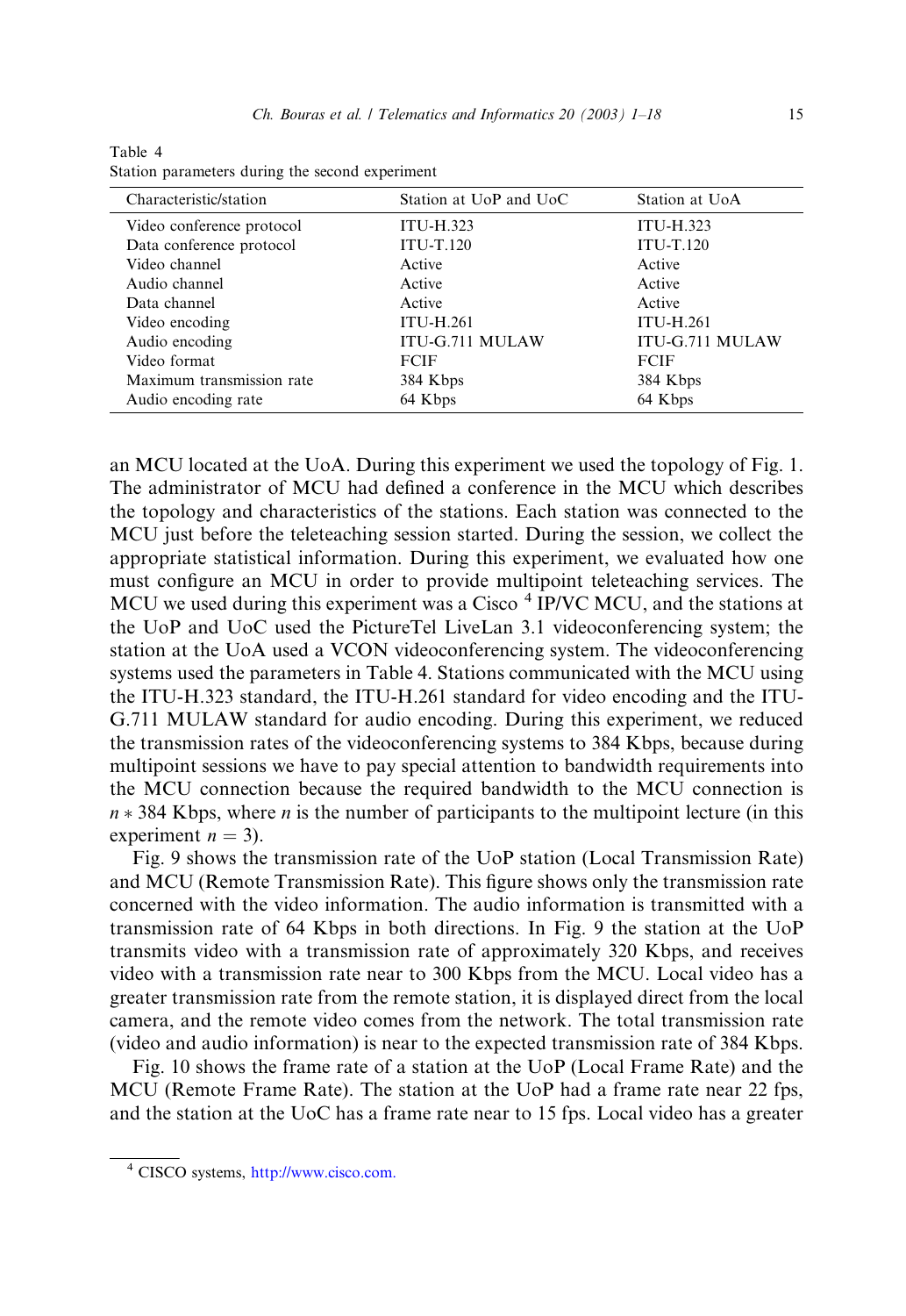| Characteristic/station    | Station at UoP and UoC | Station at UoA         |
|---------------------------|------------------------|------------------------|
| Video conference protocol | ITU-H.323              | ITU-H.323              |
| Data conference protocol  | <b>ITU-T.120</b>       | <b>ITU-T.120</b>       |
| Video channel             | Active                 | Active                 |
| Audio channel             | Active                 | Active                 |
| Data channel              | Active                 | Active                 |
| Video encoding            | <b>ITU-H.261</b>       | <b>ITU-H.261</b>       |
| Audio encoding            | <b>ITU-G.711 MULAW</b> | <b>ITU-G.711 MULAW</b> |
| Video format              | <b>FCIF</b>            | <b>FCIF</b>            |
| Maximum transmission rate | 384 Kbps               | 384 Kbps               |
| Audio encoding rate       | 64 Kbps                | 64 Kbps                |

Table 4 Station parameters during the second experiment

an MCU located at the UoA. During this experiment we used the topology of Fig. 1. The administrator of MCU had defined a conference in the MCU which describes the topology and characteristics of the stations. Each station was connected to the MCU just before the teleteaching session started. During the session, we collect the appropriate statistical information. During this experiment, we evaluated how one must configure an MCU in order to provide multipoint teleteaching services. The MCU we used during this experiment was a Cisco<sup>4</sup> IP/VC MCU, and the stations at the UoP and UoC used the PictureTel LiveLan 3.1 videoconferencing system; the station at the UoA used a VCON videoconferencing system. The videoconferencing systems used the parameters in Table 4. Stations communicated with the MCU using the ITU-H.323 standard, the ITU-H.261 standard for video encoding and the ITU-G.711 MULAW standard for audio encoding. During this experiment, we reduced the transmission rates of the videoconferencing systems to 384 Kbps, because during multipoint sessions we have to pay special attention to bandwidth requirements into the MCU connection because the required bandwidth to the MCU connection is  $n \times 384$  Kbps, where *n* is the number of participants to the multipoint lecture (in this experiment  $n = 3$ ).

Fig. 9 shows the transmission rate of the UoP station (Local Transmission Rate) and MCU (Remote Transmission Rate). This figure shows only the transmission rate concerned with the video information. The audio information is transmitted with a transmission rate of 64 Kbps in both directions. In Fig. 9 the station at the UoP transmits video with a transmission rate of approximately 320 Kbps, and receives video with a transmission rate near to 300 Kbps from the MCU. Local video has a greater transmission rate from the remote station, it is displayed direct from the local camera, and the remote video comes from the network. The total transmission rate (video and audio information) is near to the expected transmission rate of 384 Kbps.

Fig. 10 shows the frame rate of a station at the UoP (Local Frame Rate) and the MCU (Remote Frame Rate). The station at the UoP had a frame rate near 22 fps, and the station at the UoC has a frame rate near to 15 fps. Local video has a greater

<sup>4</sup> CISCO systems, [http://www.cisco.com.](http://www.cisco.com)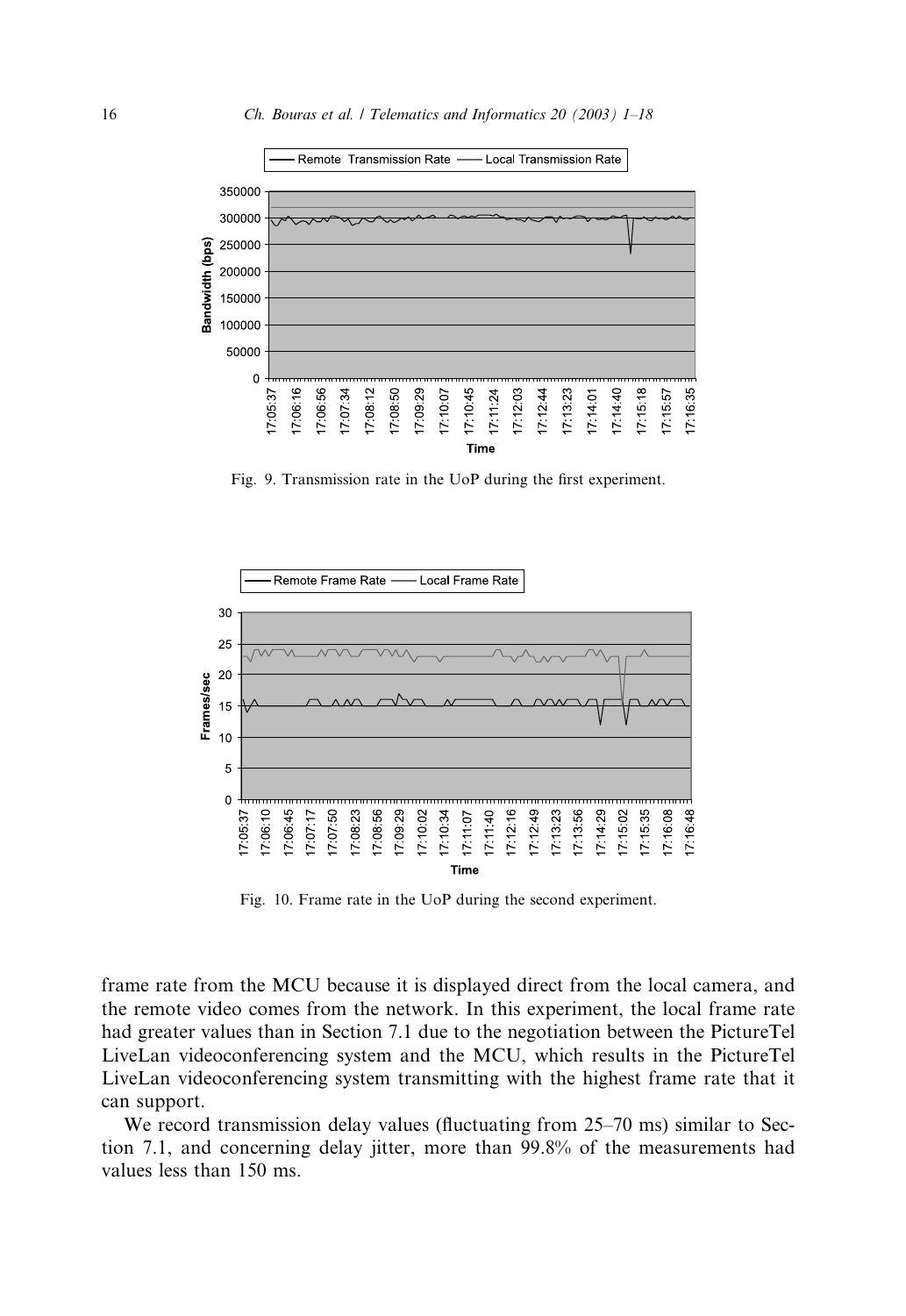

Fig. 9. Transmission rate in the UoP during the first experiment.



Fig. 10. Frame rate in the UoP during the second experiment.

frame rate from the MCU because it is displayed direct from the local camera, and the remote video comes from the network. In this experiment, the local frame rate had greater values than in Section 7.1 due to the negotiation between the PictureTel LiveLan videoconferencing system and the MCU, which results in the PictureTel LiveLan videoconferencing system transmitting with the highest frame rate that it can support.

We record transmission delay values (fluctuating from 25–70 ms) similar to Section 7.1, and concerning delay jitter, more than 99.8% of the measurements had values less than 150 ms.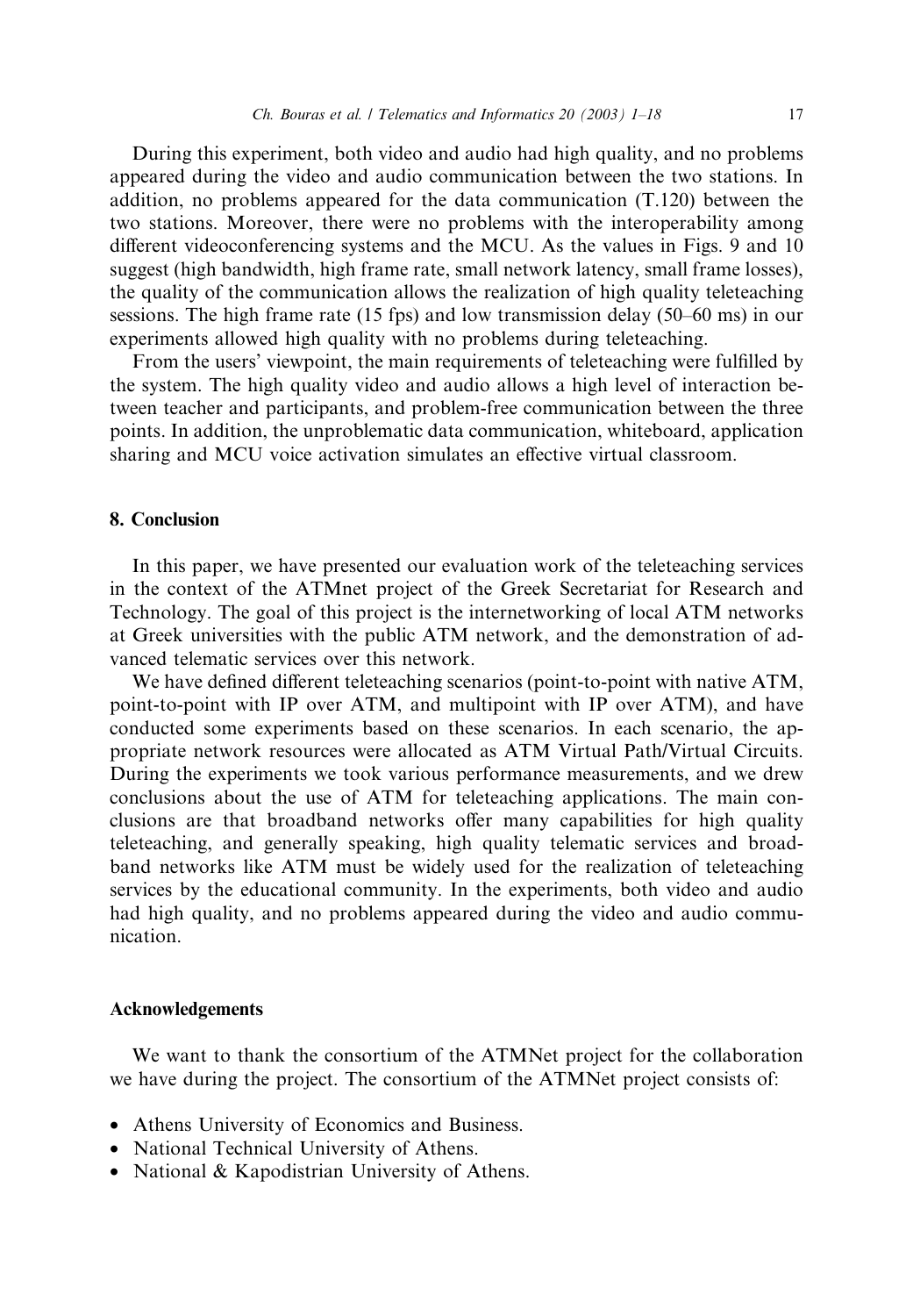During this experiment, both video and audio had high quality, and no problems appeared during the video and audio communication between the two stations. In addition, no problems appeared for the data communication (T.120) between the two stations. Moreover, there were no problems with the interoperability among different videoconferencing systems and the MCU. As the values in Figs. 9 and 10 suggest (high bandwidth, high frame rate, small network latency, small frame losses), the quality of the communication allows the realization of high quality teleteaching sessions. The high frame rate (15 fps) and low transmission delay (50–60 ms) in our experiments allowed high quality with no problems during teleteaching.

From the users' viewpoint, the main requirements of teleteaching were fulfilled by the system. The high quality video and audio allows a high level of interaction between teacher and participants, and problem-free communication between the three points. In addition, the unproblematic data communication, whiteboard, application sharing and MCU voice activation simulates an effective virtual classroom.

# 8. Conclusion

In this paper, we have presented our evaluation work of the teleteaching services in the context of the ATMnet project of the Greek Secretariat for Research and Technology. The goal of this project is the internetworking of local ATM networks at Greek universities with the public ATM network, and the demonstration of advanced telematic services over this network.

We have defined different teleteaching scenarios (point-to-point with native ATM, point-to-point with IP over ATM, and multipoint with IP over ATM), and have conducted some experiments based on these scenarios. In each scenario, the appropriate network resources were allocated as ATM Virtual Path/Virtual Circuits. During the experiments we took various performance measurements, and we drew conclusions about the use of ATM for teleteaching applications. The main conclusions are that broadband networks offer many capabilities for high quality teleteaching, and generally speaking, high quality telematic services and broadband networks like ATM must be widely used for the realization of teleteaching services by the educational community. In the experiments, both video and audio had high quality, and no problems appeared during the video and audio communication.

#### Acknowledgements

We want to thank the consortium of the ATMNet project for the collaboration we have during the project. The consortium of the ATMNet project consists of:

- Athens University of Economics and Business.
- National Technical University of Athens.
- National & Kapodistrian University of Athens.